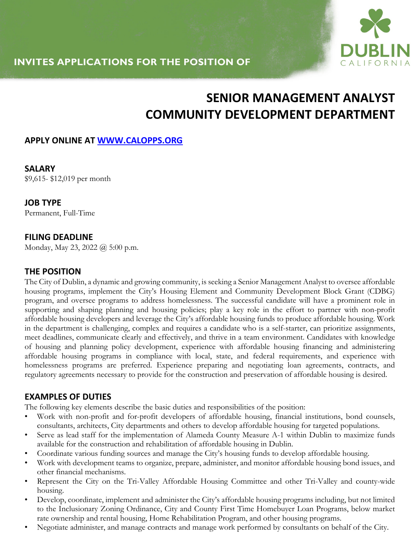

# **SENIOR MANAGEMENT ANALYST COMMUNITY DEVELOPMENT DEPARTMENT**

## **APPLY ONLINE AT WWW.CALOPPS.ORG**

**SALARY**  \$9,615- \$12,019 per month

**JOB TYPE** Permanent, Full-Time

#### **FILING DEADLINE**

Monday, May 23, 2022 @ 5:00 p.m.

#### **THE POSITION**

The City of Dublin, a dynamic and growing community, is seeking a Senior Management Analyst to oversee affordable housing programs, implement the City's Housing Element and Community Development Block Grant (CDBG) program, and oversee programs to address homelessness. The successful candidate will have a prominent role in supporting and shaping planning and housing policies; play a key role in the effort to partner with non-profit affordable housing developers and leverage the City's affordable housing funds to produce affordable housing. Work in the department is challenging, complex and requires a candidate who is a self-starter, can prioritize assignments, meet deadlines, communicate clearly and effectively, and thrive in a team environment. Candidates with knowledge of housing and planning policy development, experience with affordable housing financing and administering affordable housing programs in compliance with local, state, and federal requirements, and experience with homelessness programs are preferred. Experience preparing and negotiating loan agreements, contracts, and regulatory agreements necessary to provide for the construction and preservation of affordable housing is desired.

#### **EXAMPLES OF DUTIES**

The following key elements describe the basic duties and responsibilities of the position:

- Work with non-profit and for-profit developers of affordable housing, financial institutions, bond counsels, consultants, architects, City departments and others to develop affordable housing for targeted populations.
- Serve as lead staff for the implementation of Alameda County Measure A-1 within Dublin to maximize funds available for the construction and rehabilitation of affordable housing in Dublin.
- Coordinate various funding sources and manage the City's housing funds to develop affordable housing.
- Work with development teams to organize, prepare, administer, and monitor affordable housing bond issues, and other financial mechanisms.
- Represent the City on the Tri-Valley Affordable Housing Committee and other Tri-Valley and county-wide housing.
- Develop, coordinate, implement and administer the City's affordable housing programs including, but not limited to the Inclusionary Zoning Ordinance, City and County First Time Homebuyer Loan Programs, below market rate ownership and rental housing, Home Rehabilitation Program, and other housing programs.
- Negotiate administer, and manage contracts and manage work performed by consultants on behalf of the City.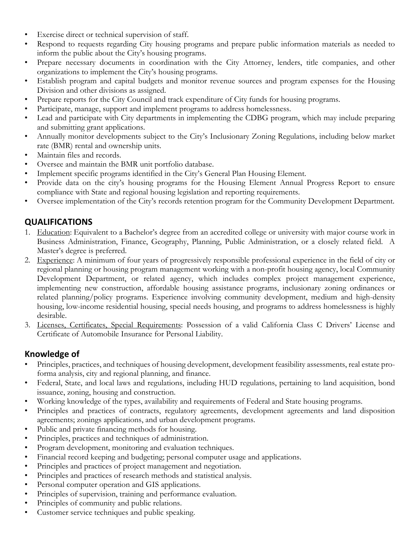- Exercise direct or technical supervision of staff.
- Respond to requests regarding City housing programs and prepare public information materials as needed to inform the public about the City's housing programs.
- Prepare necessary documents in coordination with the City Attorney, lenders, title companies, and other organizations to implement the City's housing programs.
- Establish program and capital budgets and monitor revenue sources and program expenses for the Housing Division and other divisions as assigned.
- Prepare reports for the City Council and track expenditure of City funds for housing programs.
- Participate, manage, support and implement programs to address homelessness.
- Lead and participate with City departments in implementing the CDBG program, which may include preparing and submitting grant applications.
- Annually monitor developments subject to the City's Inclusionary Zoning Regulations, including below market rate (BMR) rental and ownership units.
- Maintain files and records.
- Oversee and maintain the BMR unit portfolio database.
- Implement specific programs identified in the City's General Plan Housing Element.
- Provide data on the city's housing programs for the Housing Element Annual Progress Report to ensure compliance with State and regional housing legislation and reporting requirements.
- Oversee implementation of the City's records retention program for the Community Development Department.

# **QUALIFICATIONS**

- 1. Education: Equivalent to a Bachelor's degree from an accredited college or university with major course work in Business Administration, Finance, Geography, Planning, Public Administration, or a closely related field. A Master's degree is preferred.
- 2. Experience: A minimum of four years of progressively responsible professional experience in the field of city or regional planning or housing program management working with a non-profit housing agency, local Community Development Department, or related agency, which includes complex project management experience, implementing new construction, affordable housing assistance programs, inclusionary zoning ordinances or related planning/policy programs. Experience involving community development, medium and high-density housing, low-income residential housing, special needs housing, and programs to address homelessness is highly desirable.
- 3. Licenses, Certificates, Special Requirements: Possession of a valid California Class C Drivers' License and Certificate of Automobile Insurance for Personal Liability.

## **Knowledge of**

- Principles, practices, and techniques of housing development, development feasibility assessments, real estate proforma analysis, city and regional planning, and finance.
- Federal, State, and local laws and regulations, including HUD regulations, pertaining to land acquisition, bond issuance, zoning, housing and construction.
- Working knowledge of the types, availability and requirements of Federal and State housing programs.
- Principles and practices of contracts, regulatory agreements, development agreements and land disposition agreements; zonings applications, and urban development programs.
- Public and private financing methods for housing.
- Principles, practices and techniques of administration.
- Program development, monitoring and evaluation techniques.
- Financial record keeping and budgeting; personal computer usage and applications.
- Principles and practices of project management and negotiation.
- Principles and practices of research methods and statistical analysis.
- Personal computer operation and GIS applications.
- Principles of supervision, training and performance evaluation.
- Principles of community and public relations.
- Customer service techniques and public speaking.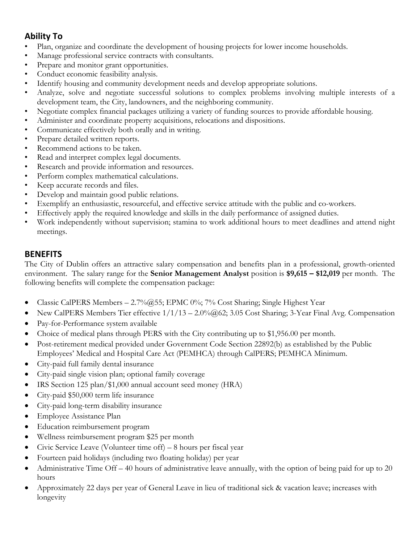# **Ability To**

- Plan, organize and coordinate the development of housing projects for lower income households.
- Manage professional service contracts with consultants.
- Prepare and monitor grant opportunities.
- Conduct economic feasibility analysis.
- Identify housing and community development needs and develop appropriate solutions.
- Analyze, solve and negotiate successful solutions to complex problems involving multiple interests of a development team, the City, landowners, and the neighboring community.
- Negotiate complex financial packages utilizing a variety of funding sources to provide affordable housing.
- Administer and coordinate property acquisitions, relocations and dispositions.
- Communicate effectively both orally and in writing.
- Prepare detailed written reports.
- Recommend actions to be taken.
- Read and interpret complex legal documents.
- Research and provide information and resources.
- Perform complex mathematical calculations.
- Keep accurate records and files.
- Develop and maintain good public relations.
- Exemplify an enthusiastic, resourceful, and effective service attitude with the public and co-workers.
- Effectively apply the required knowledge and skills in the daily performance of assigned duties.
- Work independently without supervision; stamina to work additional hours to meet deadlines and attend night meetings.

#### **BENEFITS**

The City of Dublin offers an attractive salary compensation and benefits plan in a professional, growth-oriented environment. The salary range for the **Senior Management Analyst** position is **\$9,615 – \$12,019** per month. The following benefits will complete the compensation package:

- Classic CalPERS Members  $-2.7\%$  @55; EPMC 0%; 7% Cost Sharing; Single Highest Year
- New CalPERS Members Tier effective  $1/1/13 2.0\%$  ( $\omega$ 62; 3.05 Cost Sharing; 3-Year Final Avg. Compensation
- Pay-for-Performance system available
- Choice of medical plans through PERS with the City contributing up to \$1,956.00 per month.
- Post-retirement medical provided under Government Code Section 22892(b) as established by the Public Employees' Medical and Hospital Care Act (PEMHCA) through CalPERS; PEMHCA Minimum.
- City-paid full family dental insurance
- City-paid single vision plan; optional family coverage
- IRS Section 125 plan/\$1,000 annual account seed money (HRA)
- City-paid \$50,000 term life insurance
- City-paid long-term disability insurance
- Employee Assistance Plan
- Education reimbursement program
- Wellness reimbursement program \$25 per month
- Civic Service Leave (Volunteer time off) 8 hours per fiscal year
- Fourteen paid holidays (including two floating holiday) per year
- Administrative Time Off 40 hours of administrative leave annually, with the option of being paid for up to 20 hours
- Approximately 22 days per year of General Leave in lieu of traditional sick & vacation leave; increases with longevity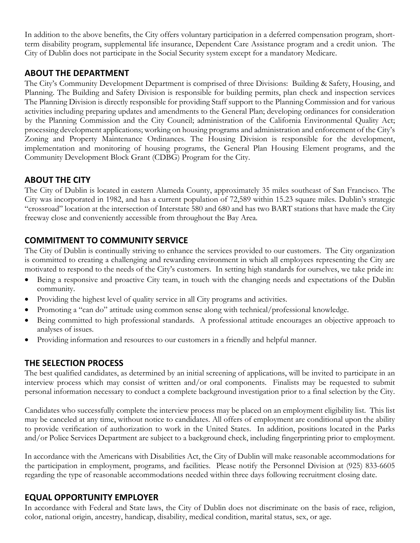In addition to the above benefits, the City offers voluntary participation in a deferred compensation program, shortterm disability program, supplemental life insurance, Dependent Care Assistance program and a credit union. The City of Dublin does not participate in the Social Security system except for a mandatory Medicare.

#### **ABOUT THE DEPARTMENT**

The City's Community Development Department is comprised of three Divisions: Building & Safety, Housing, and Planning. The Building and Safety Division is responsible for building permits, plan check and inspection services The Planning Division is directly responsible for providing Staff support to the Planning Commission and for various activities including preparing updates and amendments to the General Plan; developing ordinances for consideration by the Planning Commission and the City Council; administration of the California Environmental Quality Act; processing development applications; working on housing programs and administration and enforcement of the City's Zoning and Property Maintenance Ordinances. The Housing Division is responsible for the development, implementation and monitoring of housing programs, the General Plan Housing Element programs, and the Community Development Block Grant (CDBG) Program for the City.

## **ABOUT THE CITY**

The City of Dublin is located in eastern Alameda County, approximately 35 miles southeast of San Francisco. The City was incorporated in 1982, and has a current population of 72,589 within 15.23 square miles. Dublin's strategic "crossroad" location at the intersection of Interstate 580 and 680 and has two BART stations that have made the City freeway close and conveniently accessible from throughout the Bay Area.

#### **COMMITMENT TO COMMUNITY SERVICE**

The City of Dublin is continually striving to enhance the services provided to our customers. The City organization is committed to creating a challenging and rewarding environment in which all employees representing the City are motivated to respond to the needs of the City's customers. In setting high standards for ourselves, we take pride in:

- Being a responsive and proactive City team, in touch with the changing needs and expectations of the Dublin community.
- Providing the highest level of quality service in all City programs and activities.
- Promoting a "can do" attitude using common sense along with technical/professional knowledge.
- Being committed to high professional standards. A professional attitude encourages an objective approach to analyses of issues.
- Providing information and resources to our customers in a friendly and helpful manner.

## **THE SELECTION PROCESS**

The best qualified candidates, as determined by an initial screening of applications, will be invited to participate in an interview process which may consist of written and/or oral components. Finalists may be requested to submit personal information necessary to conduct a complete background investigation prior to a final selection by the City.

Candidates who successfully complete the interview process may be placed on an employment eligibility list. This list may be canceled at any time, without notice to candidates. All offers of employment are conditional upon the ability to provide verification of authorization to work in the United States. In addition, positions located in the Parks and/or Police Services Department are subject to a background check, including fingerprinting prior to employment.

In accordance with the Americans with Disabilities Act, the City of Dublin will make reasonable accommodations for the participation in employment, programs, and facilities. Please notify the Personnel Division at (925) 833-6605 regarding the type of reasonable accommodations needed within three days following recruitment closing date.

#### **EQUAL OPPORTUNITY EMPLOYER**

In accordance with Federal and State laws, the City of Dublin does not discriminate on the basis of race, religion, color, national origin, ancestry, handicap, disability, medical condition, marital status, sex, or age.